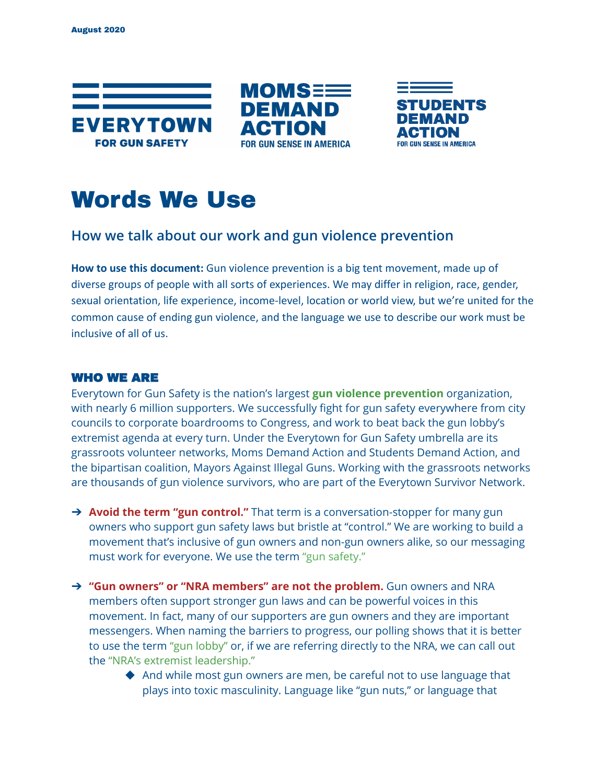





# Words We Use

## **How we talk about our work and gun violence prevention**

**How to use this document:** Gun violence prevention is a big tent movement, made up of diverse groups of people with all sorts of experiences. We may differ in religion, race, gender, sexual orientation, life experience, income-level, location or world view, but we're united for the common cause of ending gun violence, and the language we use to describe our work must be inclusive of all of us.

## WHO WE ARE

Everytown for Gun Safety is the nation's largest **gun violence prevention** organization, with nearly 6 million supporters. We successfully fight for gun safety everywhere from city councils to corporate boardrooms to Congress, and work to beat back the gun lobby's extremist agenda at every turn. Under the Everytown for Gun Safety umbrella are its grassroots volunteer networks, Moms Demand Action and Students Demand Action, and the bipartisan coalition, Mayors Against Illegal Guns. Working with the grassroots networks are thousands of gun violence survivors, who are part of the Everytown Survivor Network.

- ➔ **Avoid the term "gun control."** That term is a conversation-stopper for many gun owners who support gun safety laws but bristle at "control." We are working to build a movement that's inclusive of gun owners and non-gun owners alike, so our messaging must work for everyone. We use the term "gun safety."
- ➔ **"Gun owners" or "NRA members" are not the problem.** Gun owners and NRA members often support stronger gun laws and can be powerful voices in this movement. In fact, many of our supporters are gun owners and they are important messengers. When naming the barriers to progress, our polling shows that it is better to use the term "gun lobby" or, if we are referring directly to the NRA, we can call out the "NRA's extremist leadership."
	- ◆ And while most gun owners are men, be careful not to use language that plays into toxic masculinity. Language like "gun nuts," or language that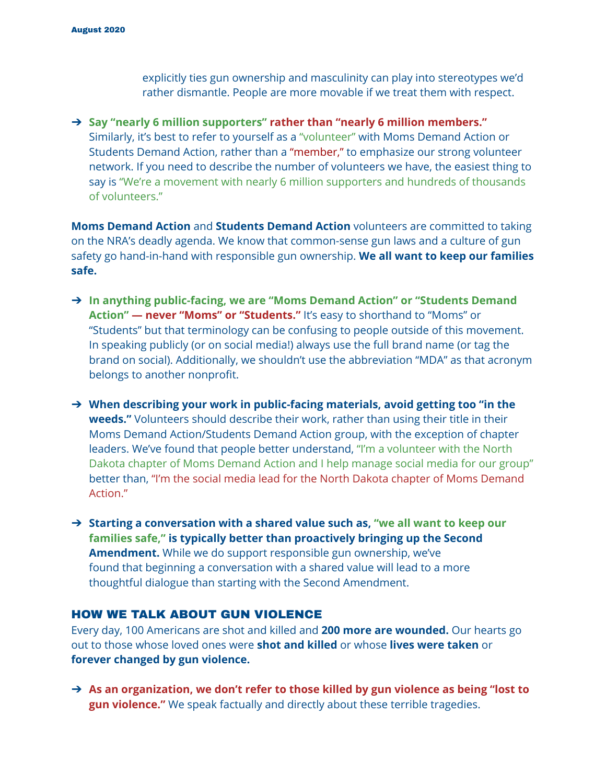explicitly ties gun ownership and masculinity can play into stereotypes we'd rather dismantle. People are more movable if we treat them with respect.

➔ **Say "nearly 6 million supporters" rather than "nearly 6 million members."** Similarly, it's best to refer to yourself as a "volunteer" with Moms Demand Action or Students Demand Action, rather than a "member," to emphasize our strong volunteer network. If you need to describe the number of volunteers we have, the easiest thing to say is "We're a movement with nearly 6 million supporters and hundreds of thousands of volunteers."

**Moms Demand Action** and **Students Demand Action** volunteers are committed to taking on the NRA's deadly agenda. We know that common-sense gun laws and a culture of gun safety go hand-in-hand with responsible gun ownership. **We all want to keep our families safe.**

- ➔ **In anything public-facing, we are "Moms Demand Action" or "Students Demand Action" — never "Moms" or "Students."** It's easy to shorthand to "Moms" or "Students" but that terminology can be confusing to people outside of this movement. In speaking publicly (or on social media!) always use the full brand name (or tag the brand on social). Additionally, we shouldn't use the abbreviation "MDA" as that acronym belongs to another nonprofit.
- ➔ **When describing your work in public-facing materials, avoid getting too "in the weeds."** Volunteers should describe their work, rather than using their title in their Moms Demand Action/Students Demand Action group, with the exception of chapter leaders. We've found that people better understand, "I'm a volunteer with the North Dakota chapter of Moms Demand Action and I help manage social media for our group" better than, "I'm the social media lead for the North Dakota chapter of Moms Demand Action."

➔ **Starting a conversation with a shared value such as, "we all want to keep our families safe," is typically better than proactively bringing up the Second Amendment.** While we do support responsible gun ownership, we've found that beginning a conversation with a shared value will lead to a more thoughtful dialogue than starting with the Second Amendment.

## HOW WE TALK ABOUT GUN VIOLENCE

Every day, 100 Americans are shot and killed and **200 more are wounded.** Our hearts go out to those whose loved ones were **shot and killed** or whose **lives were taken** or **forever changed by gun violence.**

➔ **As an organization, we don't refer to those killed by gun violence as being "lost to gun violence."** We speak factually and directly about these terrible tragedies.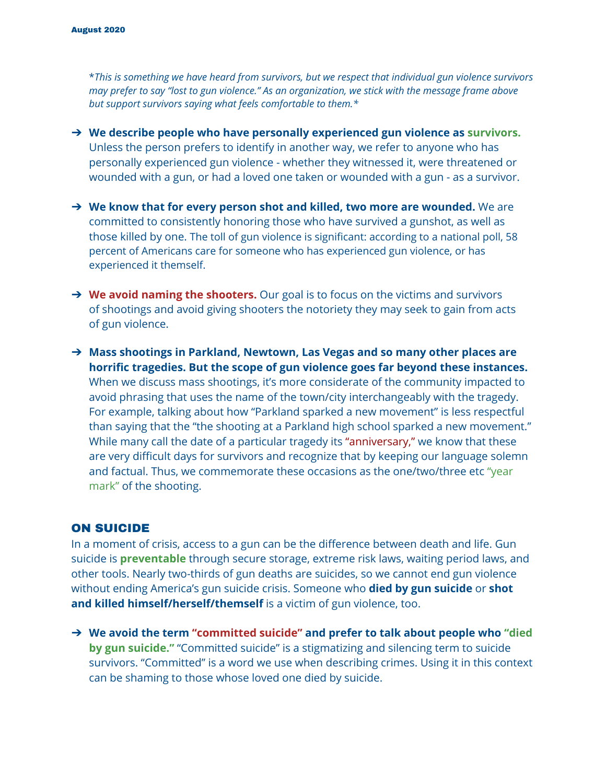\**This is something we have heard from survivors, but we respect that individual gun violence survivors* may prefer to say "lost to gun violence." As an organization, we stick with the message frame above *but support survivors saying what feels comfortable to them.\**

- ➔ **We describe people who have personally experienced gun violence as survivors.** Unless the person prefers to identify in another way, we refer to anyone who has personally experienced gun violence - whether they witnessed it, were threatened or wounded with a gun, or had a loved one taken or wounded with a gun - as a survivor.
- ➔ **We know that for every person shot and killed, two more are wounded.** We are committed to consistently honoring those who have survived a gunshot, as well as those killed by one. The toll of gun violence is significant: according to a national poll, 58 percent of Americans care for someone who has experienced gun violence, or has experienced it themself.
- ➔ **We avoid naming the shooters.** Our goal is to focus on the victims and survivors of shootings and avoid giving shooters the notoriety they may seek to gain from acts of gun violence.
- ➔ **Mass shootings in Parkland, Newtown, Las Vegas and so many other places are horrific tragedies. But the scope of gun violence goes far beyond these instances.** When we discuss mass shootings, it's more considerate of the community impacted to avoid phrasing that uses the name of the town/city interchangeably with the tragedy. For example, talking about how "Parkland sparked a new movement" is less respectful than saying that the "the shooting at a Parkland high school sparked a new movement." While many call the date of a particular tragedy its "anniversary," we know that these are very difficult days for survivors and recognize that by keeping our language solemn and factual. Thus, we commemorate these occasions as the one/two/three etc "year mark" of the shooting.

#### ON SUICIDE

In a moment of crisis, access to a gun can be the difference between death and life. Gun suicide is **preventable** through secure storage, extreme risk laws, waiting period laws, and other tools. Nearly two-thirds of gun deaths are suicides, so we cannot end gun violence without ending America's gun suicide crisis. Someone who **died by gun suicide** or **shot and killed himself/herself/themself** is a victim of gun violence, too.

➔ **We avoid the term "committed suicide" and prefer to talk about people who "died by gun suicide."** "Committed suicide" is a stigmatizing and silencing term to suicide survivors. "Committed" is a word we use when describing crimes. Using it in this context can be shaming to those whose loved one died by suicide.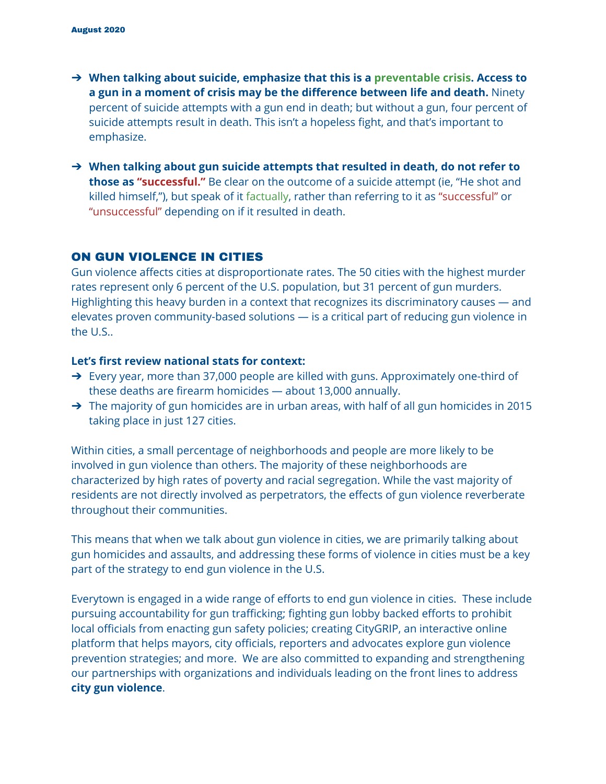- ➔ **When talking about suicide, emphasize that this is a preventable crisis. Access to a gun in a moment of crisis may be the difference between life and death.** Ninety percent of suicide attempts with a gun end in death; but without a gun, four percent of suicide attempts result in death. This isn't a hopeless fight, and that's important to emphasize.
- ➔ **When talking about gun suicide attempts that resulted in death, do not refer to those as "successful."** Be clear on the outcome of a suicide attempt (ie, "He shot and killed himself,"), but speak of it factually, rather than referring to it as "successful" or "unsuccessful" depending on if it resulted in death.

## ON GUN VIOLENCE IN CITIES

Gun violence affects cities at disproportionate rates. The 50 cities with the highest murder rates represent only 6 percent of the U.S. population, but 31 percent of gun murders. Highlighting this heavy burden in a context that recognizes its discriminatory causes — and elevates proven community-based solutions — is a critical part of reducing gun violence in the U.S..

#### **Let's first review national stats for context:**

- → Every year, more than 37,000 people are killed with guns. Approximately one-third of these deaths are firearm homicides — about 13,000 annually.
- → The majority of gun homicides are in urban areas, with half of all gun homicides in 2015 taking place in just 127 cities.

Within cities, a small percentage of neighborhoods and people are more likely to be involved in gun violence than others. The majority of these neighborhoods are characterized by high rates of poverty and racial segregation. While the vast majority of residents are not directly involved as perpetrators, the effects of gun violence reverberate throughout their communities.

This means that when we talk about gun violence in cities, we are primarily talking about gun homicides and assaults, and addressing these forms of violence in cities must be a key part of the strategy to end gun violence in the U.S.

Everytown is engaged in a wide range of efforts to end gun violence in cities. These include pursuing accountability for gun trafficking; fighting gun lobby backed efforts to prohibit local officials from enacting gun safety policies; creating CityGRIP, an interactive online platform that helps mayors, city officials, reporters and advocates explore gun violence prevention strategies; and more. We are also committed to expanding and strengthening our partnerships with organizations and individuals leading on the front lines to address **city gun violence**.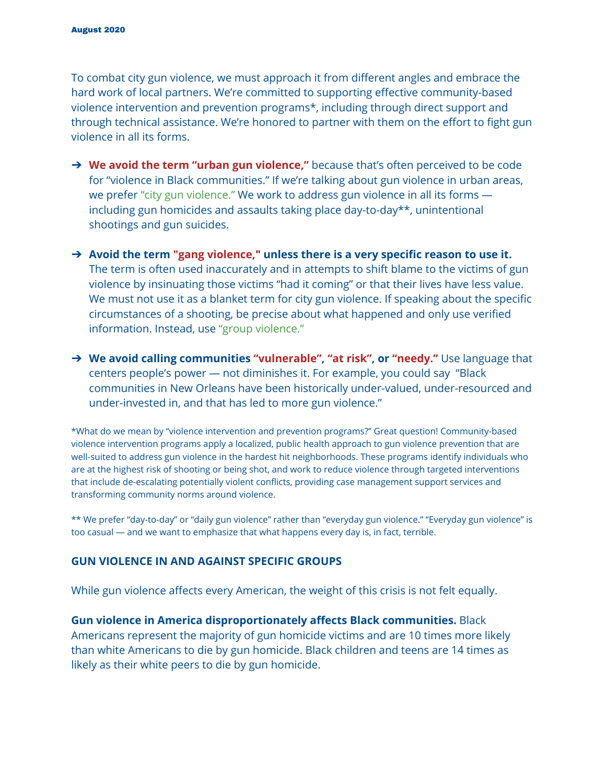To combat city gun violence, we must approach it from different angles and embrace the hard work of local partners. We're committed to supporting effective community-based violence intervention and prevention programs\*, including through direct support and through technical assistance. We're honored to partner with them on the effort to fight gun violence in all its forms.

- ➔ **We avoid the term "urban gun violence,"** because that's often perceived to be code for "violence in Black communities." If we're talking about gun violence in urban areas, we prefer "city gun violence." We work to address gun violence in all its forms including gun homicides and assaults taking place day-to-day\*\*, unintentional shootings and gun suicides.
- ➔ **Avoid the term "gang violence," unless there is a very specific reason to use it.** The term is often used inaccurately and in attempts to shift blame to the victims of gun violence by insinuating those victims "had it coming" or that their lives have less value. We must not use it as a blanket term for city gun violence. If speaking about the specific circumstances of a shooting, be precise about what happened and only use verified information. Instead, use "group violence."
- ➔ **We avoid calling communities "vulnerable", "at risk", or "needy."** Use language that centers people's power — not diminishes it. For example, you could say "Black communities in New Orleans have been historically under-valued, under-resourced and under-invested in, and that has led to more gun violence."

\*What do we mean by "violence intervention and prevention programs?" Great question! Community-based violence intervention programs apply a localized, public health approach to gun violence prevention that are well-suited to address gun violence in the hardest hit neighborhoods. These programs identify individuals who are at the highest risk of shooting or being shot, and work to reduce violence through targeted interventions that include de-escalating potentially violent conflicts, providing case management support services and transforming community norms around violence.

\*\* We prefer "day-to-day" or "daily gun violence" rather than "everyday gun violence." "Everyday gun violence" is too casual — and we want to emphasize that what happens every day is, in fact, terrible.

#### **GUN VIOLENCE IN AND AGAINST SPECIFIC GROUPS**

While gun violence affects every American, the weight of this crisis is not felt equally.

**Gun violence in America disproportionately affects Black communities.** Black Americans represent the majority of gun homicide victims and are 10 times more likely than white Americans to die by gun homicide. Black children and teens are 14 times as likely as their white peers to die by gun homicide.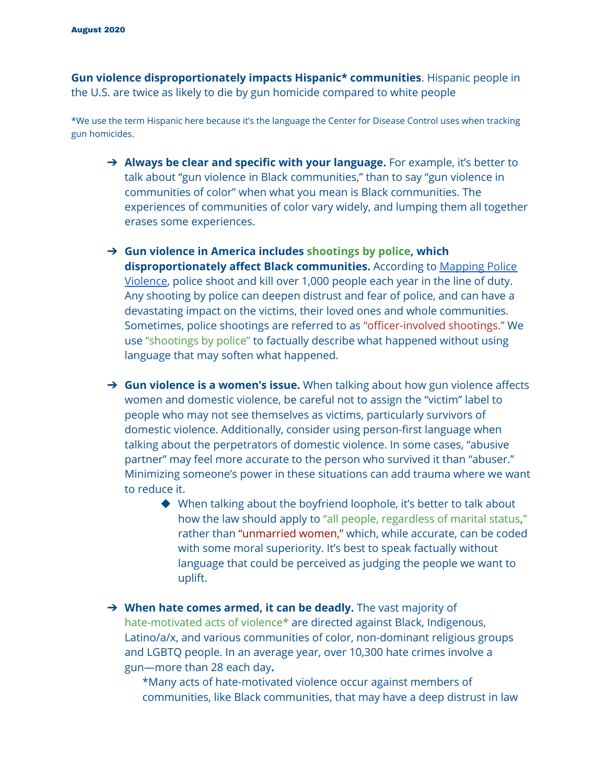**Gun violence disproportionately impacts Hispanic\* communities**. Hispanic people in the U.S. are twice as likely to die by gun homicide compared to white people

\*We use the term Hispanic here because it's the language the Center for Disease Control uses when tracking gun homicides.

- ➔ **Always be clear and specific with your language.** For example, it's better to talk about "gun violence in Black communities," than to say "gun violence in communities of color" when what you mean is Black communities. The experiences of communities of color vary widely, and lumping them all together erases some experiences.
- ➔ **Gun violence in America includes shootings by police, which disproportionately affect Black communities.** According to [Mapping](https://mappingpoliceviolence.org/) Police [Violence](https://mappingpoliceviolence.org/), police shoot and kill over 1,000 people each year in the line of duty. Any shooting by police can deepen distrust and fear of police, and can have a devastating impact on the victims, their loved ones and whole communities. Sometimes, police shootings are referred to as "officer-involved shootings." We use "shootings by police" to factually describe what happened without using language that may soften what happened.
- ➔ **Gun violence is a women's issue.** When talking about how gun violence affects women and domestic violence, be careful not to assign the "victim" label to people who may not see themselves as victims, particularly survivors of domestic violence. Additionally, consider using person-first language when talking about the perpetrators of domestic violence. In some cases, "abusive partner" may feel more accurate to the person who survived it than "abuser." Minimizing someone's power in these situations can add trauma where we want to reduce it.
	- ◆ When talking about the boyfriend loophole, it's better to talk about how the law should apply to "all people, regardless of marital status**,**" rather than "unmarried women," which, while accurate, can be coded with some moral superiority. It's best to speak factually without language that could be perceived as judging the people we want to uplift.
- ➔ **When hate comes armed, it can be deadly.** The vast majority of hate-motivated acts of violence\* are directed against Black, Indigenous, Latino/a/x, and various communities of color, non-dominant religious groups and LGBTQ people. In an average year, over 10,300 hate crimes involve a gun—more than 28 each day**.**

\*Many acts of hate-motivated violence occur against members of communities, like Black communities, that may have a deep distrust in law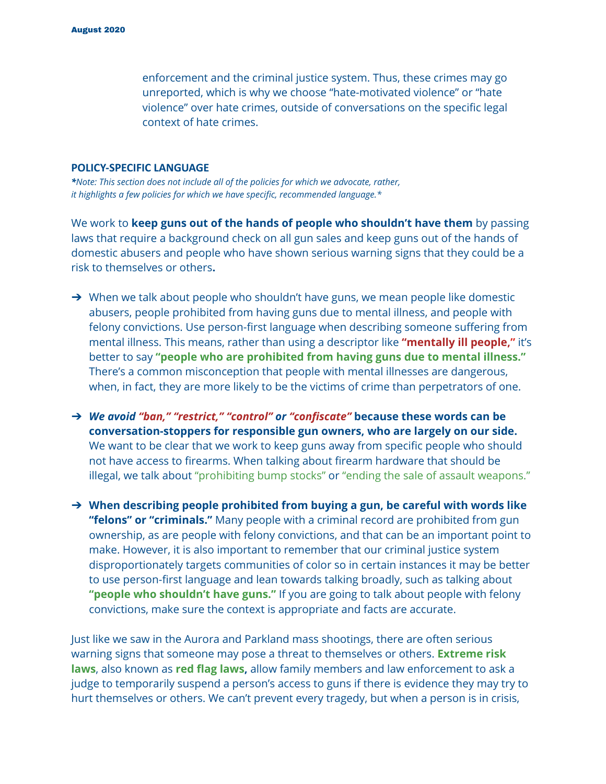enforcement and the criminal justice system. Thus, these crimes may go unreported, which is why we choose "hate-motivated violence" or "hate violence" over hate crimes, outside of conversations on the specific legal context of hate crimes.

#### **POLICY-SPECIFIC LANGUAGE**

*\*Note: This section does not include all of the policies for which we advocate, rather, it highlights a few policies for which we have specific, recommended language.\**

We work to **keep guns out of the hands of people who shouldn't have them** by passing laws that require a background check on all gun sales and keep guns out of the hands of domestic abusers and people who have shown serious warning signs that they could be a risk to themselves or others**.**

- → When we talk about people who shouldn't have guns, we mean people like domestic abusers, people prohibited from having guns due to mental illness, and people with felony convictions. Use person-first language when describing someone suffering from mental illness. This means, rather than using a descriptor like **"mentally ill people,"** it's better to say **"people who are prohibited from having guns due to mental illness."** There's a common misconception that people with mental illnesses are dangerous, when, in fact, they are more likely to be the victims of crime than perpetrators of one.
- ➔ *We avoid "ban," "restrict," "control" or "confiscate"* **because these words can be conversation-stoppers for responsible gun owners, who are largely on our side.** We want to be clear that we work to keep guns away from specific people who should not have access to firearms. When talking about firearm hardware that should be illegal, we talk about "prohibiting bump stocks" or "ending the sale of assault weapons."
- ➔ **When describing people prohibited from buying a gun, be careful with words like "felons" or "criminals."** Many people with a criminal record are prohibited from gun ownership, as are people with felony convictions, and that can be an important point to make. However, it is also important to remember that our criminal justice system disproportionately targets communities of color so in certain instances it may be better to use person-first language and lean towards talking broadly, such as talking about **"people who shouldn't have guns."** If you are going to talk about people with felony convictions, make sure the context is appropriate and facts are accurate.

Just like we saw in the Aurora and Parkland mass shootings, there are often serious warning signs that someone may pose a threat to themselves or others. **Extreme risk laws**, also known as **red flag laws,** allow family members and law enforcement to ask a judge to temporarily suspend a person's access to guns if there is evidence they may try to hurt themselves or others. We can't prevent every tragedy, but when a person is in crisis,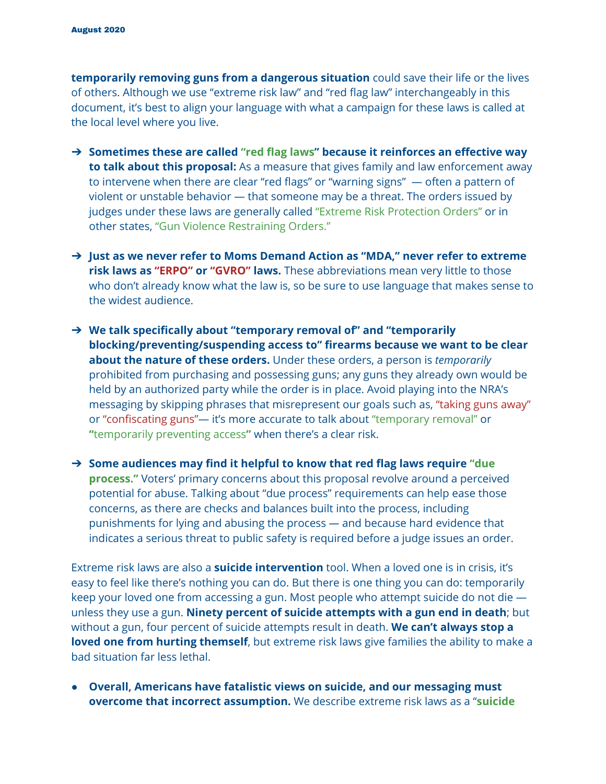**temporarily removing guns from a dangerous situation** could save their life or the lives of others. Although we use "extreme risk law" and "red flag law" interchangeably in this document, it's best to align your language with what a campaign for these laws is called at the local level where you live.

- ➔ **Sometimes these are called "red flag laws" because it reinforces an effective way to talk about this proposal:** As a measure that gives family and law enforcement away to intervene when there are clear "red flags" or "warning signs" — often a pattern of violent or unstable behavior — that someone may be a threat. The orders issued by judges under these laws are generally called "Extreme Risk Protection Orders" or in other states, "Gun Violence Restraining Orders."
- ➔ **Just as we never refer to Moms Demand Action as "MDA," never refer to extreme risk laws as "ERPO" or "GVRO" laws.** These abbreviations mean very little to those who don't already know what the law is, so be sure to use language that makes sense to the widest audience.
- ➔ **We talk specifically about "temporary removal of" and "temporarily blocking/preventing/suspending access to" firearms because we want to be clear about the nature of these orders.** Under these orders, a person is *temporarily* prohibited from purchasing and possessing guns; any guns they already own would be held by an authorized party while the order is in place. Avoid playing into the NRA's messaging by skipping phrases that misrepresent our goals such as, "taking guns away" or "confiscating guns"— it's more accurate to talk about "temporary removal" or **"**temporarily preventing access**"** when there's a clear risk.
- ➔ **Some audiences may find it helpful to know that red flag laws require "due process."** Voters' primary concerns about this proposal revolve around a perceived potential for abuse. Talking about "due process" requirements can help ease those concerns, as there are checks and balances built into the process, including punishments for lying and abusing the process *—* and because hard evidence that indicates a serious threat to public safety is required before a judge issues an order.

Extreme risk laws are also a **suicide intervention** tool. When a loved one is in crisis, it's easy to feel like there's nothing you can do. But there is one thing you can do: temporarily keep your loved one from accessing a gun. Most people who attempt suicide do not die unless they use a gun. **Ninety percent of suicide attempts with a gun end in death**; but without a gun, four percent of suicide attempts result in death. **We can't always stop a loved one from hurting themself**, but extreme risk laws give families the ability to make a bad situation far less lethal.

● **Overall, Americans have fatalistic views on suicide, and our messaging must overcome that incorrect assumption.** We describe extreme risk laws as a "**suicide**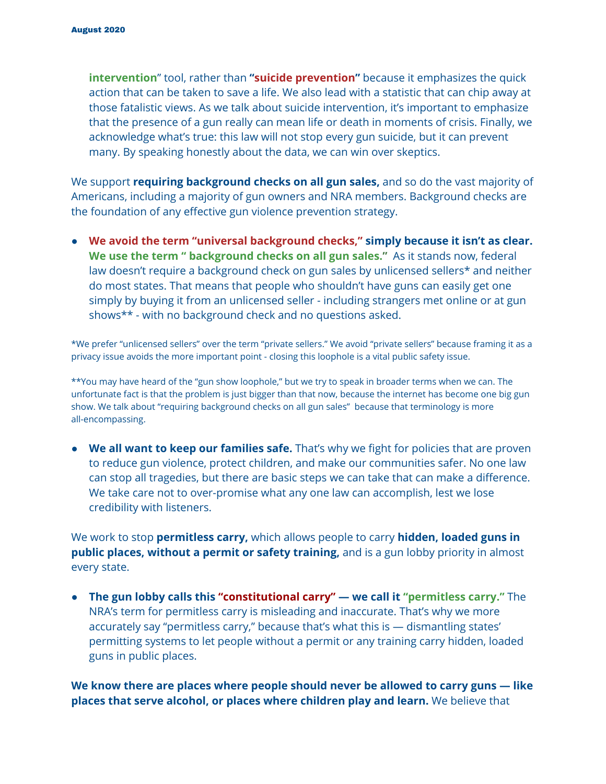**intervention**" tool, rather than **"suicide prevention"** because it emphasizes the quick action that can be taken to save a life. We also lead with a statistic that can chip away at those fatalistic views. As we talk about suicide intervention, it's important to emphasize that the presence of a gun really can mean life or death in moments of crisis. Finally, we acknowledge what's true: this law will not stop every gun suicide, but it can prevent many. By speaking honestly about the data, we can win over skeptics.

We support **requiring background checks on all gun sales,** and so do the vast majority of Americans, including a majority of gun owners and NRA members. Background checks are the foundation of any effective gun violence prevention strategy.

● **We avoid the term "universal background checks," simply because it isn't as clear. We use the term " background checks on all gun sales."** As it stands now, federal law doesn't require a background check on gun sales by unlicensed sellers\* and neither do most states. That means that people who shouldn't have guns can easily get one simply by buying it from an unlicensed seller - including strangers met online or at gun shows\*\* - with no background check and no questions asked.

\*We prefer "unlicensed sellers" over the term "private sellers." We avoid "private sellers" because framing it as a privacy issue avoids the more important point - closing this loophole is a vital public safety issue.

\*\*You may have heard of the "gun show loophole," but we try to speak in broader terms when we can. The unfortunate fact is that the problem is just bigger than that now, because the internet has become one big gun show. We talk about "requiring background checks on all gun sales" because that terminology is more all-encompassing.

*●* **We all want to keep our families safe.** That's why we fight for policies that are proven to reduce gun violence, protect children, and make our communities safer. No one law can stop all tragedies, but there are basic steps we can take that can make a difference. We take care not to over-promise what any one law can accomplish, lest we lose credibility with listeners.

We work to stop **permitless carry,** which allows people to carry **hidden, loaded guns in public places, without a permit or safety training,** and is a gun lobby priority in almost every state.

● **The gun lobby calls this "constitutional carry" — we call it "permitless carry."** The NRA's term for permitless carry is misleading and inaccurate. That's why we more accurately say "permitless carry," because that's what this is — dismantling states' permitting systems to let people without a permit or any training carry hidden, loaded guns in public places.

**We know there are places where people should never be allowed to carry guns — like places that serve alcohol, or places where children play and learn.** We believe that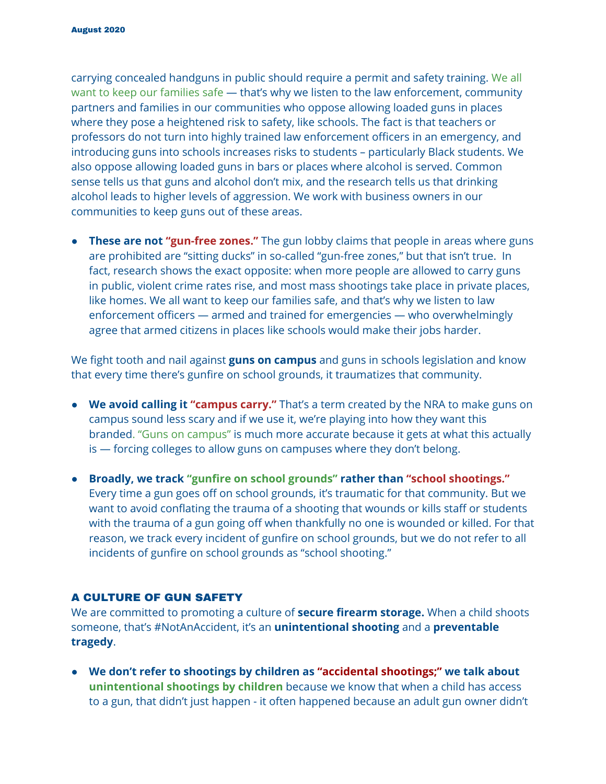carrying concealed handguns in public should require a permit and safety training. We all want to keep our families safe — that's why we listen to the law enforcement, community partners and families in our communities who oppose allowing loaded guns in places where they pose a heightened risk to safety, like schools. The fact is that teachers or professors do not turn into highly trained law enforcement officers in an emergency, and introducing guns into schools increases risks to students – particularly Black students. We also oppose allowing loaded guns in bars or places where alcohol is served. Common sense tells us that guns and alcohol don't mix, and the research tells us that drinking alcohol leads to higher levels of aggression. We work with business owners in our communities to keep guns out of these areas.

● **These are not "gun-free zones."** The gun lobby claims that people in areas where guns are prohibited are "sitting ducks" in so-called "gun-free zones," but that isn't true. In fact, research shows the exact opposite: when more people are allowed to carry guns in public, violent crime rates rise, and most mass shootings take place in private places, like homes. We all want to keep our families safe, and that's why we listen to law enforcement officers — armed and trained for emergencies — who overwhelmingly agree that armed citizens in places like schools would make their jobs harder.

We fight tooth and nail against **guns on campus** and guns in schools legislation and know that every time there's gunfire on school grounds, it traumatizes that community.

- **We avoid calling it "campus carry."** That's a term created by the NRA to make guns on campus sound less scary and if we use it, we're playing into how they want this branded. "Guns on campus" is much more accurate because it gets at what this actually is — forcing colleges to allow guns on campuses where they don't belong.
- **Broadly, we track "gunfire on school grounds" rather than "school shootings."** Every time a gun goes off on school grounds, it's traumatic for that community. But we want to avoid conflating the trauma of a shooting that wounds or kills staff or students with the trauma of a gun going off when thankfully no one is wounded or killed. For that reason, we track every incident of gunfire on school grounds, but we do not refer to all incidents of gunfire on school grounds as "school shooting."

## A CULTURE OF GUN SAFETY

We are committed to promoting a culture of **secure firearm storage.** When a child shoots someone, that's #NotAnAccident, it's an **unintentional shooting** and a **preventable tragedy**.

● **We don't refer to shootings by children as "accidental shootings;" we talk about unintentional shootings by children** because we know that when a child has access to a gun, that didn't just happen - it often happened because an adult gun owner didn't